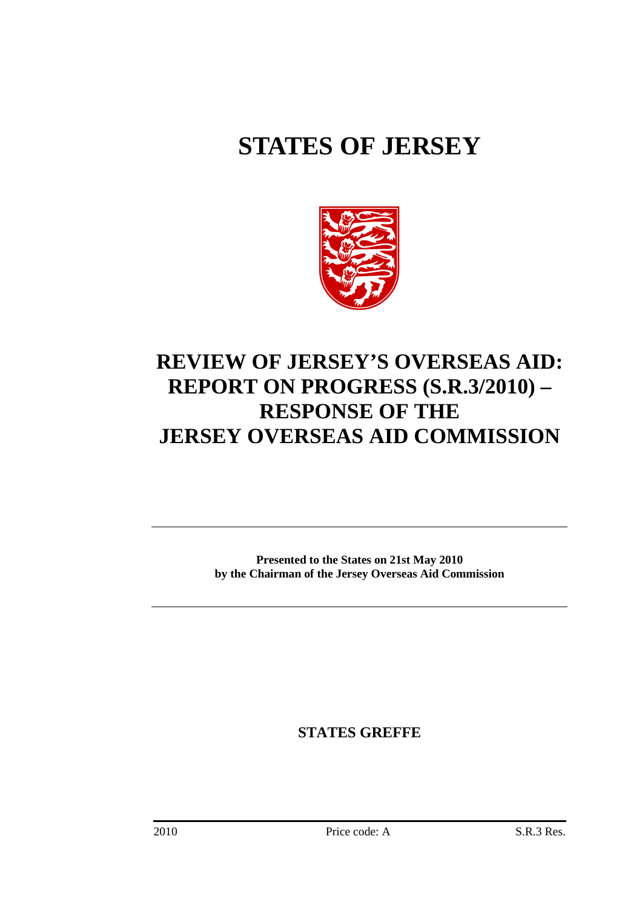# **STATES OF JERSEY**



## **REVIEW OF JERSEY'S OVERSEAS AID: REPORT ON PROGRESS (S.R.3/2010) – RESPONSE OF THE JERSEY OVERSEAS AID COMMISSION**

**Presented to the States on 21st May 2010 by the Chairman of the Jersey Overseas Aid Commission** 

**STATES GREFFE**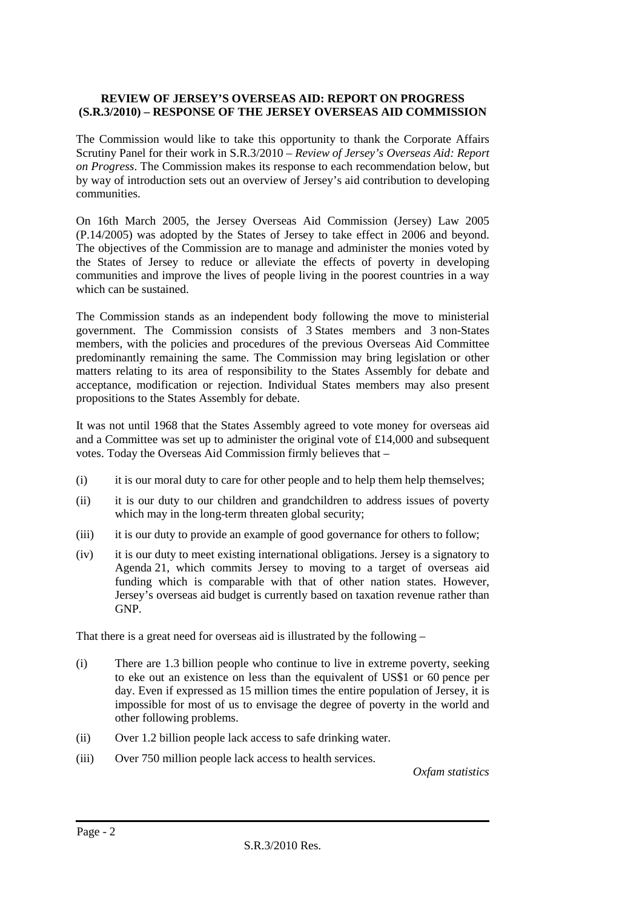#### **REVIEW OF JERSEY'S OVERSEAS AID: REPORT ON PROGRESS (S.R.3/2010) – RESPONSE OF THE JERSEY OVERSEAS AID COMMISSION**

The Commission would like to take this opportunity to thank the Corporate Affairs Scrutiny Panel for their work in S.R.3/2010 – *Review of Jersey's Overseas Aid: Report on Progress*. The Commission makes its response to each recommendation below, but by way of introduction sets out an overview of Jersey's aid contribution to developing communities.

On 16th March 2005, the Jersey Overseas Aid Commission (Jersey) Law 2005 (P.14/2005) was adopted by the States of Jersey to take effect in 2006 and beyond. The objectives of the Commission are to manage and administer the monies voted by the States of Jersey to reduce or alleviate the effects of poverty in developing communities and improve the lives of people living in the poorest countries in a way which can be sustained.

The Commission stands as an independent body following the move to ministerial government. The Commission consists of 3 States members and 3 non-States members, with the policies and procedures of the previous Overseas Aid Committee predominantly remaining the same. The Commission may bring legislation or other matters relating to its area of responsibility to the States Assembly for debate and acceptance, modification or rejection. Individual States members may also present propositions to the States Assembly for debate.

It was not until 1968 that the States Assembly agreed to vote money for overseas aid and a Committee was set up to administer the original vote of £14,000 and subsequent votes. Today the Overseas Aid Commission firmly believes that –

- (i) it is our moral duty to care for other people and to help them help themselves;
- (ii) it is our duty to our children and grandchildren to address issues of poverty which may in the long-term threaten global security;
- (iii) it is our duty to provide an example of good governance for others to follow;
- (iv) it is our duty to meet existing international obligations. Jersey is a signatory to Agenda 21, which commits Jersey to moving to a target of overseas aid funding which is comparable with that of other nation states. However, Jersey's overseas aid budget is currently based on taxation revenue rather than GNP.

That there is a great need for overseas aid is illustrated by the following –

- (i) There are 1.3 billion people who continue to live in extreme poverty, seeking to eke out an existence on less than the equivalent of US\$1 or 60 pence per day. Even if expressed as 15 million times the entire population of Jersey, it is impossible for most of us to envisage the degree of poverty in the world and other following problems.
- (ii) Over 1.2 billion people lack access to safe drinking water.
- (iii) Over 750 million people lack access to health services.

*Oxfam statistics*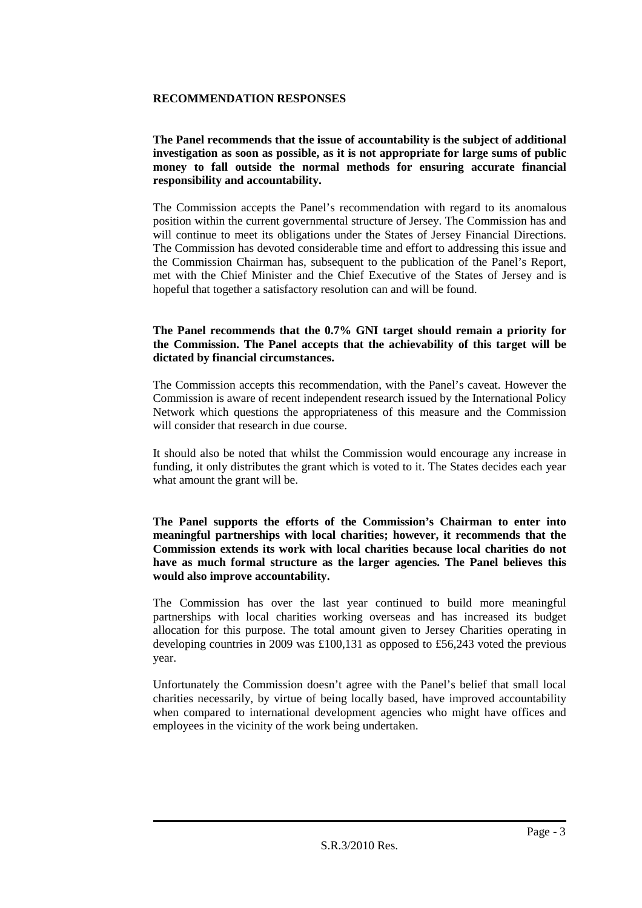#### **RECOMMENDATION RESPONSES**

#### **The Panel recommends that the issue of accountability is the subject of additional investigation as soon as possible, as it is not appropriate for large sums of public money to fall outside the normal methods for ensuring accurate financial responsibility and accountability.**

The Commission accepts the Panel's recommendation with regard to its anomalous position within the current governmental structure of Jersey. The Commission has and will continue to meet its obligations under the States of Jersey Financial Directions. The Commission has devoted considerable time and effort to addressing this issue and the Commission Chairman has, subsequent to the publication of the Panel's Report, met with the Chief Minister and the Chief Executive of the States of Jersey and is hopeful that together a satisfactory resolution can and will be found.

#### **The Panel recommends that the 0.7% GNI target should remain a priority for the Commission. The Panel accepts that the achievability of this target will be dictated by financial circumstances.**

The Commission accepts this recommendation, with the Panel's caveat. However the Commission is aware of recent independent research issued by the International Policy Network which questions the appropriateness of this measure and the Commission will consider that research in due course.

It should also be noted that whilst the Commission would encourage any increase in funding, it only distributes the grant which is voted to it. The States decides each year what amount the grant will be.

#### **The Panel supports the efforts of the Commission's Chairman to enter into meaningful partnerships with local charities; however, it recommends that the Commission extends its work with local charities because local charities do not have as much formal structure as the larger agencies. The Panel believes this would also improve accountability.**

The Commission has over the last year continued to build more meaningful partnerships with local charities working overseas and has increased its budget allocation for this purpose. The total amount given to Jersey Charities operating in developing countries in 2009 was £100,131 as opposed to £56,243 voted the previous year.

Unfortunately the Commission doesn't agree with the Panel's belief that small local charities necessarily, by virtue of being locally based, have improved accountability when compared to international development agencies who might have offices and employees in the vicinity of the work being undertaken.